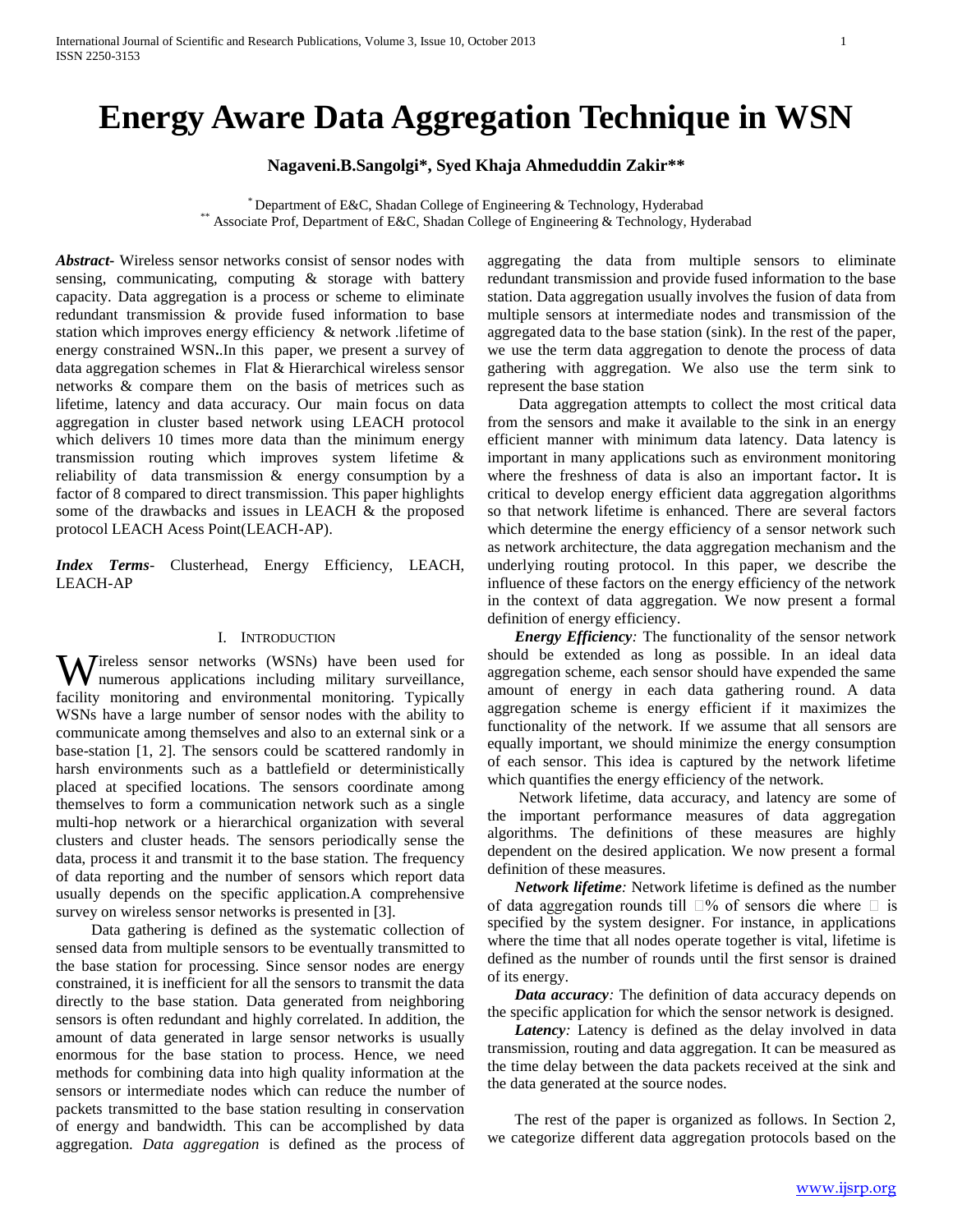# **Energy Aware Data Aggregation Technique in WSN**

# **Nagaveni.B.Sangolgi\*, Syed Khaja Ahmeduddin Zakir\*\***

 $*$  Department of E&C, Shadan College of Engineering & Technology, Hyderabad \*\* Associate Prof, Department of E&C, Shadan College of Engineering & Technology, Hyderabad

*Abstract***-** Wireless sensor networks consist of sensor nodes with sensing, communicating, computing & storage with battery capacity. Data aggregation is a process or scheme to eliminate redundant transmission & provide fused information to base station which improves energy efficiency & network .lifetime of energy constrained WSN**.**.In this paper, we present a survey of data aggregation schemes in Flat & Hierarchical wireless sensor networks & compare them on the basis of metrices such as lifetime, latency and data accuracy. Our main focus on data aggregation in cluster based network using LEACH protocol which delivers 10 times more data than the minimum energy transmission routing which improves system lifetime & reliability of data transmission & energy consumption by a factor of 8 compared to direct transmission. This paper highlights some of the drawbacks and issues in LEACH & the proposed protocol LEACH Acess Point(LEACH-AP).

*Index Terms*- Clusterhead, Energy Efficiency, LEACH, LEACH-AP

# I. INTRODUCTION

ireless sensor networks (WSNs) have been used for Wireless sensor networks (WSNs) have been used for numerous applications including military surveillance, facility monitoring and environmental monitoring. Typically WSNs have a large number of sensor nodes with the ability to communicate among themselves and also to an external sink or a base-station [1, 2]. The sensors could be scattered randomly in harsh environments such as a battlefield or deterministically placed at specified locations. The sensors coordinate among themselves to form a communication network such as a single multi-hop network or a hierarchical organization with several clusters and cluster heads. The sensors periodically sense the data, process it and transmit it to the base station. The frequency of data reporting and the number of sensors which report data usually depends on the specific application.A comprehensive survey on wireless sensor networks is presented in [3].

 Data gathering is defined as the systematic collection of sensed data from multiple sensors to be eventually transmitted to the base station for processing. Since sensor nodes are energy constrained, it is inefficient for all the sensors to transmit the data directly to the base station. Data generated from neighboring sensors is often redundant and highly correlated. In addition, the amount of data generated in large sensor networks is usually enormous for the base station to process. Hence, we need methods for combining data into high quality information at the sensors or intermediate nodes which can reduce the number of packets transmitted to the base station resulting in conservation of energy and bandwidth. This can be accomplished by data aggregation. *Data aggregation* is defined as the process of aggregating the data from multiple sensors to eliminate redundant transmission and provide fused information to the base station. Data aggregation usually involves the fusion of data from multiple sensors at intermediate nodes and transmission of the aggregated data to the base station (sink). In the rest of the paper, we use the term data aggregation to denote the process of data gathering with aggregation. We also use the term sink to represent the base station

 Data aggregation attempts to collect the most critical data from the sensors and make it available to the sink in an energy efficient manner with minimum data latency. Data latency is important in many applications such as environment monitoring where the freshness of data is also an important factor**.** It is critical to develop energy efficient data aggregation algorithms so that network lifetime is enhanced. There are several factors which determine the energy efficiency of a sensor network such as network architecture, the data aggregation mechanism and the underlying routing protocol. In this paper, we describe the influence of these factors on the energy efficiency of the network in the context of data aggregation. We now present a formal definition of energy efficiency.

 *Energy Efficiency:* The functionality of the sensor network should be extended as long as possible. In an ideal data aggregation scheme, each sensor should have expended the same amount of energy in each data gathering round. A data aggregation scheme is energy efficient if it maximizes the functionality of the network. If we assume that all sensors are equally important, we should minimize the energy consumption of each sensor. This idea is captured by the network lifetime which quantifies the energy efficiency of the network.

 Network lifetime, data accuracy, and latency are some of the important performance measures of data aggregation algorithms. The definitions of these measures are highly dependent on the desired application. We now present a formal definition of these measures.

 *Network lifetime:* Network lifetime is defined as the number of data aggregation rounds till  $\square$ % of sensors die where  $\square$  is specified by the system designer. For instance, in applications where the time that all nodes operate together is vital, lifetime is defined as the number of rounds until the first sensor is drained of its energy.

*Data accuracy*: The definition of data accuracy depends on the specific application for which the sensor network is designed.

*Latency*: Latency is defined as the delay involved in data transmission, routing and data aggregation. It can be measured as the time delay between the data packets received at the sink and the data generated at the source nodes.

The rest of the paper is organized as follows. In Section 2, we categorize different data aggregation protocols based on the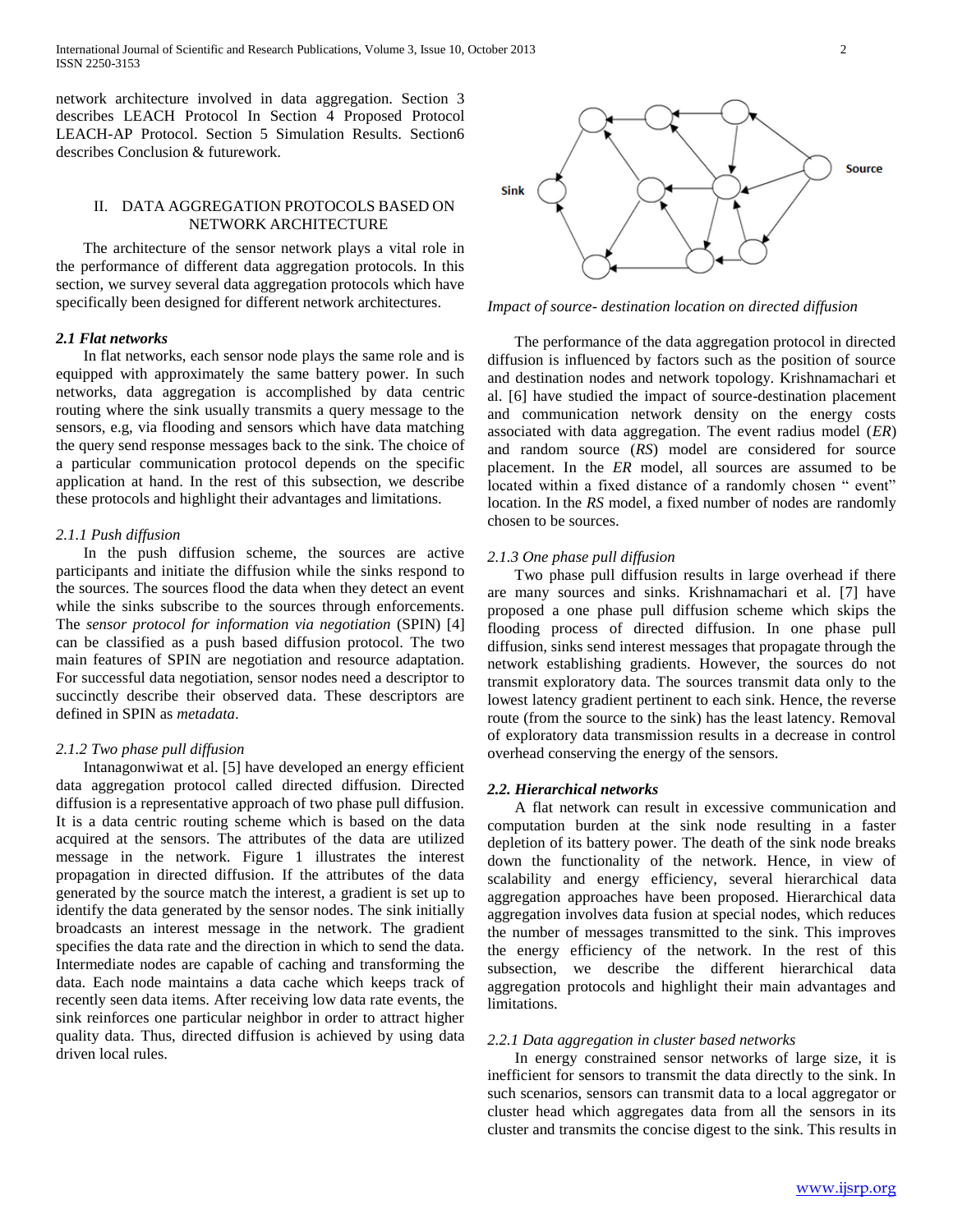International Journal of Scientific and Research Publications, Volume 3, Issue 10, October 2013 2 ISSN 2250-3153

network architecture involved in data aggregation. Section 3 describes LEACH Protocol In Section 4 Proposed Protocol LEACH-AP Protocol. Section 5 Simulation Results. Section6 describes Conclusion & futurework.

# II. DATA AGGREGATION PROTOCOLS BASED ON NETWORK ARCHITECTURE

The architecture of the sensor network plays a vital role in the performance of different data aggregation protocols. In this section, we survey several data aggregation protocols which have specifically been designed for different network architectures.

# *2.1 Flat networks*

In flat networks, each sensor node plays the same role and is equipped with approximately the same battery power. In such networks, data aggregation is accomplished by data centric routing where the sink usually transmits a query message to the sensors, e.g, via flooding and sensors which have data matching the query send response messages back to the sink. The choice of a particular communication protocol depends on the specific application at hand. In the rest of this subsection, we describe these protocols and highlight their advantages and limitations.

#### *2.1.1 Push diffusion*

In the push diffusion scheme, the sources are active participants and initiate the diffusion while the sinks respond to the sources. The sources flood the data when they detect an event while the sinks subscribe to the sources through enforcements. The *sensor protocol for information via negotiation* (SPIN) [4] can be classified as a push based diffusion protocol. The two main features of SPIN are negotiation and resource adaptation. For successful data negotiation, sensor nodes need a descriptor to succinctly describe their observed data. These descriptors are defined in SPIN as *metadata*.

#### *2.1.2 Two phase pull diffusion*

Intanagonwiwat et al. [5] have developed an energy efficient data aggregation protocol called directed diffusion. Directed diffusion is a representative approach of two phase pull diffusion. It is a data centric routing scheme which is based on the data acquired at the sensors. The attributes of the data are utilized message in the network. Figure 1 illustrates the interest propagation in directed diffusion. If the attributes of the data generated by the source match the interest, a gradient is set up to identify the data generated by the sensor nodes. The sink initially broadcasts an interest message in the network. The gradient specifies the data rate and the direction in which to send the data. Intermediate nodes are capable of caching and transforming the data. Each node maintains a data cache which keeps track of recently seen data items. After receiving low data rate events, the sink reinforces one particular neighbor in order to attract higher quality data. Thus, directed diffusion is achieved by using data driven local rules.



*Impact of source- destination location on directed diffusion*

The performance of the data aggregation protocol in directed diffusion is influenced by factors such as the position of source and destination nodes and network topology. Krishnamachari et al. [6] have studied the impact of source-destination placement and communication network density on the energy costs associated with data aggregation. The event radius model (*ER*) and random source (*RS*) model are considered for source placement. In the *ER* model, all sources are assumed to be located within a fixed distance of a randomly chosen " event" location. In the *RS* model, a fixed number of nodes are randomly chosen to be sources.

#### *2.1.3 One phase pull diffusion*

Two phase pull diffusion results in large overhead if there are many sources and sinks. Krishnamachari et al. [7] have proposed a one phase pull diffusion scheme which skips the flooding process of directed diffusion. In one phase pull diffusion, sinks send interest messages that propagate through the network establishing gradients. However, the sources do not transmit exploratory data. The sources transmit data only to the lowest latency gradient pertinent to each sink. Hence, the reverse route (from the source to the sink) has the least latency. Removal of exploratory data transmission results in a decrease in control overhead conserving the energy of the sensors.

# *2.2. Hierarchical networks*

A flat network can result in excessive communication and computation burden at the sink node resulting in a faster depletion of its battery power. The death of the sink node breaks down the functionality of the network. Hence, in view of scalability and energy efficiency, several hierarchical data aggregation approaches have been proposed. Hierarchical data aggregation involves data fusion at special nodes, which reduces the number of messages transmitted to the sink. This improves the energy efficiency of the network. In the rest of this subsection, we describe the different hierarchical data aggregation protocols and highlight their main advantages and limitations.

#### *2.2.1 Data aggregation in cluster based networks*

In energy constrained sensor networks of large size, it is inefficient for sensors to transmit the data directly to the sink. In such scenarios, sensors can transmit data to a local aggregator or cluster head which aggregates data from all the sensors in its cluster and transmits the concise digest to the sink. This results in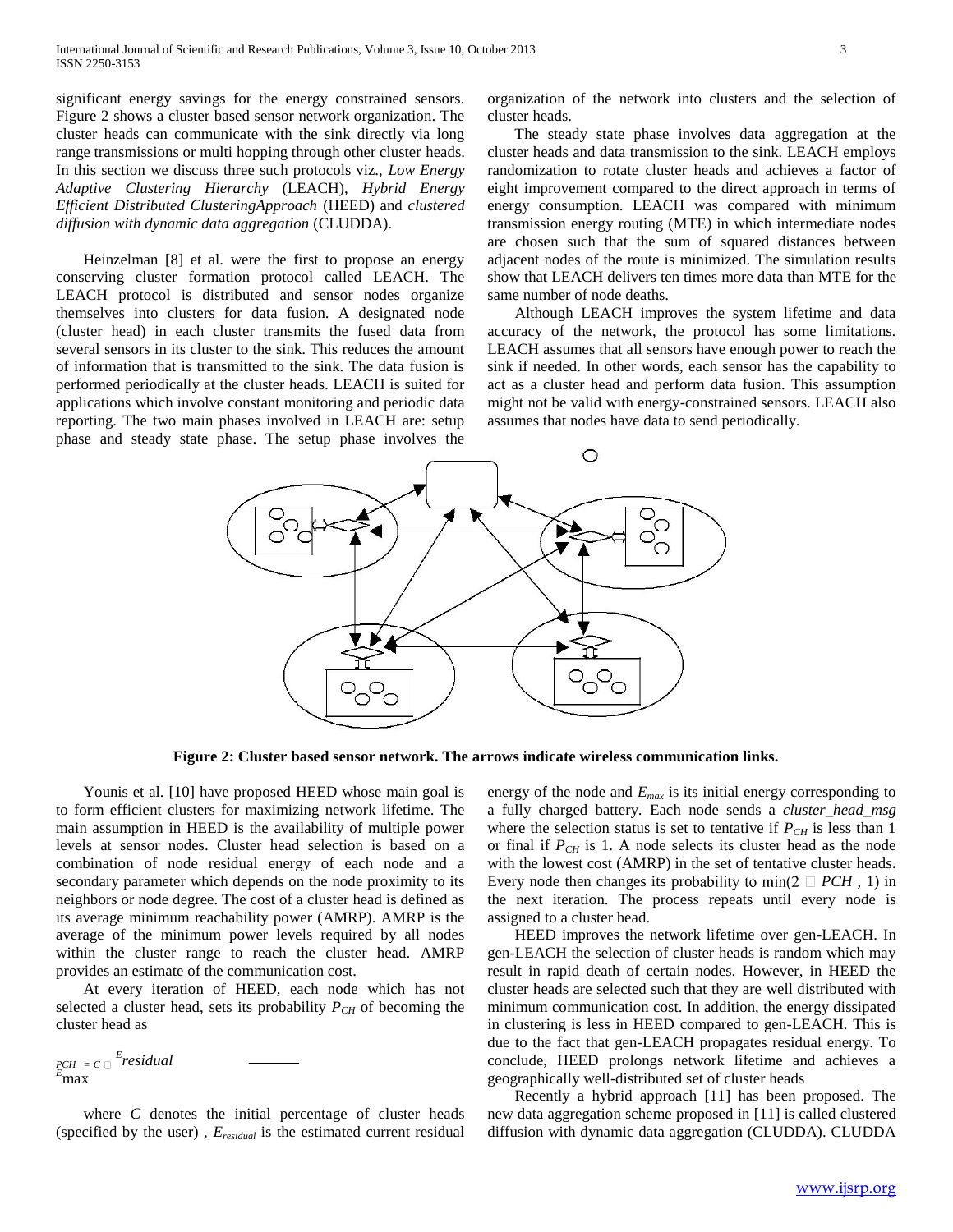significant energy savings for the energy constrained sensors. Figure 2 shows a cluster based sensor network organization. The cluster heads can communicate with the sink directly via long range transmissions or multi hopping through other cluster heads. In this section we discuss three such protocols viz., *Low Energy Adaptive Clustering Hierarchy* (LEACH), *Hybrid Energy Efficient Distributed ClusteringApproach* (HEED) and *clustered diffusion with dynamic data aggregation* (CLUDDA).

Heinzelman [8] et al. were the first to propose an energy conserving cluster formation protocol called LEACH. The LEACH protocol is distributed and sensor nodes organize themselves into clusters for data fusion. A designated node (cluster head) in each cluster transmits the fused data from several sensors in its cluster to the sink. This reduces the amount of information that is transmitted to the sink. The data fusion is performed periodically at the cluster heads. LEACH is suited for applications which involve constant monitoring and periodic data reporting. The two main phases involved in LEACH are: setup phase and steady state phase. The setup phase involves the

organization of the network into clusters and the selection of cluster heads.

The steady state phase involves data aggregation at the cluster heads and data transmission to the sink. LEACH employs randomization to rotate cluster heads and achieves a factor of eight improvement compared to the direct approach in terms of energy consumption. LEACH was compared with minimum transmission energy routing (MTE) in which intermediate nodes are chosen such that the sum of squared distances between adjacent nodes of the route is minimized. The simulation results show that LEACH delivers ten times more data than MTE for the same number of node deaths.

Although LEACH improves the system lifetime and data accuracy of the network, the protocol has some limitations. LEACH assumes that all sensors have enough power to reach the sink if needed. In other words, each sensor has the capability to act as a cluster head and perform data fusion. This assumption might not be valid with energy-constrained sensors. LEACH also assumes that nodes have data to send periodically.



**Figure 2: Cluster based sensor network. The arrows indicate wireless communication links.**

Younis et al. [10] have proposed HEED whose main goal is to form efficient clusters for maximizing network lifetime. The main assumption in HEED is the availability of multiple power levels at sensor nodes. Cluster head selection is based on a combination of node residual energy of each node and a secondary parameter which depends on the node proximity to its neighbors or node degree. The cost of a cluster head is defined as its average minimum reachability power (AMRP). AMRP is the average of the minimum power levels required by all nodes within the cluster range to reach the cluster head. AMRP provides an estimate of the communication cost.

At every iteration of HEED, each node which has not selected a cluster head, sets its probability  $P_{CH}$  of becoming the cluster head as

*PCH* <sup>=</sup> *<sup>C</sup> E residual <sup>E</sup>*max

where  $C$  denotes the initial percentage of cluster heads (specified by the user) , *Eresidual* is the estimated current residual

energy of the node and *Emax* is its initial energy corresponding to a fully charged battery. Each node sends a *cluster\_head\_msg* where the selection status is set to tentative if  $P_{CH}$  is less than 1 or final if  $P_{CH}$  is 1. A node selects its cluster head as the node with the lowest cost (AMRP) in the set of tentative cluster heads**.** Every node then changes its probability to  $\min(2 \square PCH, 1)$  in the next iteration. The process repeats until every node is assigned to a cluster head.

HEED improves the network lifetime over gen-LEACH. In gen-LEACH the selection of cluster heads is random which may result in rapid death of certain nodes. However, in HEED the cluster heads are selected such that they are well distributed with minimum communication cost. In addition, the energy dissipated in clustering is less in HEED compared to gen-LEACH. This is due to the fact that gen-LEACH propagates residual energy. To conclude, HEED prolongs network lifetime and achieves a geographically well-distributed set of cluster heads

Recently a hybrid approach [11] has been proposed. The new data aggregation scheme proposed in [11] is called clustered diffusion with dynamic data aggregation (CLUDDA). CLUDDA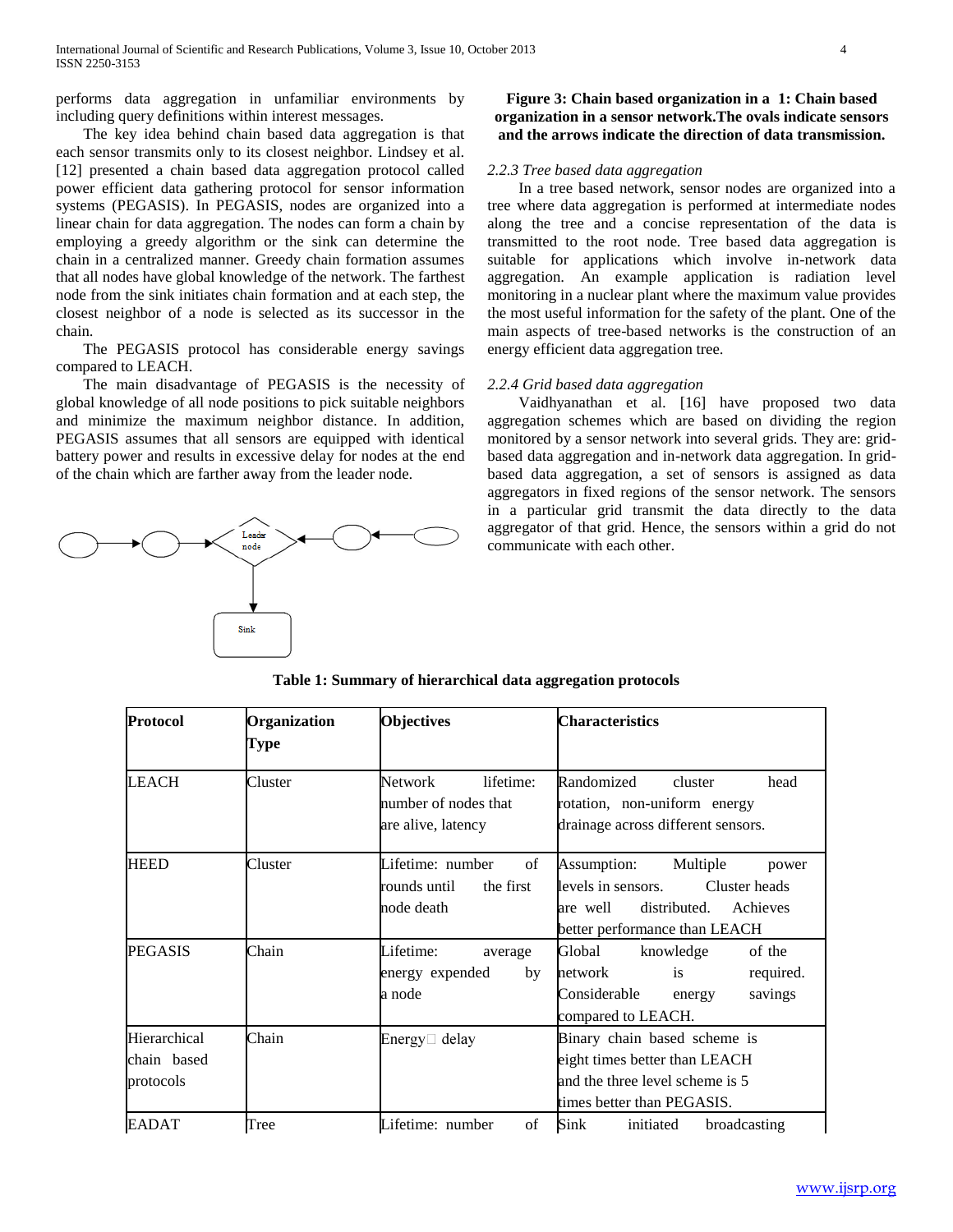performs data aggregation in unfamiliar environments by including query definitions within interest messages.

The key idea behind chain based data aggregation is that each sensor transmits only to its closest neighbor. Lindsey et al. [12] presented a chain based data aggregation protocol called power efficient data gathering protocol for sensor information systems (PEGASIS). In PEGASIS, nodes are organized into a linear chain for data aggregation. The nodes can form a chain by employing a greedy algorithm or the sink can determine the chain in a centralized manner. Greedy chain formation assumes that all nodes have global knowledge of the network. The farthest node from the sink initiates chain formation and at each step, the closest neighbor of a node is selected as its successor in the chain.

The PEGASIS protocol has considerable energy savings compared to LEACH.

The main disadvantage of PEGASIS is the necessity of global knowledge of all node positions to pick suitable neighbors and minimize the maximum neighbor distance. In addition, PEGASIS assumes that all sensors are equipped with identical battery power and results in excessive delay for nodes at the end of the chain which are farther away from the leader node.



**Figure 3: Chain based organization in a 1: Chain based organization in a sensor network.The ovals indicate sensors and the arrows indicate the direction of data transmission.**

# *2.2.3 Tree based data aggregation*

 In a tree based network, sensor nodes are organized into a tree where data aggregation is performed at intermediate nodes along the tree and a concise representation of the data is transmitted to the root node. Tree based data aggregation is suitable for applications which involve in-network data aggregation. An example application is radiation level monitoring in a nuclear plant where the maximum value provides the most useful information for the safety of the plant. One of the main aspects of tree-based networks is the construction of an energy efficient data aggregation tree.

#### *2.2.4 Grid based data aggregation*

 Vaidhyanathan et al. [16] have proposed two data aggregation schemes which are based on dividing the region monitored by a sensor network into several grids. They are: gridbased data aggregation and in-network data aggregation. In gridbased data aggregation, a set of sensors is assigned as data aggregators in fixed regions of the sensor network. The sensors in a particular grid transmit the data directly to the data aggregator of that grid. Hence, the sensors within a grid do not communicate with each other.

| Protocol                                 | Organization<br>Type | <b>Objectives</b>                                                  | Characteristics                                                                                                                                  |
|------------------------------------------|----------------------|--------------------------------------------------------------------|--------------------------------------------------------------------------------------------------------------------------------------------------|
| <b>LEACH</b>                             | Cluster              | Network<br>lifetime:<br>number of nodes that<br>are alive, latency | Randomized<br>cluster<br>head<br>rotation, non-uniform energy<br>drainage across different sensors.                                              |
| <b>HEED</b>                              | Cluster              | of<br>Lifetime: number<br>rounds until<br>the first<br>node death  | Assumption:<br>Multiple<br>power<br>levels in sensors.<br>Cluster heads<br>distributed.<br>Achieves<br>are well<br>better performance than LEACH |
| <b>PEGASIS</b>                           | Chain                | Lifetime:<br>average<br>energy expended<br>by<br>a node            | Global<br>knowledge<br>of the<br>required.<br>is<br>network<br>Considerable<br>savings<br>energy<br>compared to LEACH.                           |
| Hierarchical<br>chain based<br>protocols | Chain                | Energy $\Box$ delay                                                | Binary chain based scheme is<br>eight times better than LEACH<br>and the three level scheme is 5<br>times better than PEGASIS.                   |
| <b>EADAT</b>                             | Tree                 | Lifetime: number<br>of                                             | Sink<br>broadcasting<br>initiated                                                                                                                |

**Table 1: Summary of hierarchical data aggregation protocols**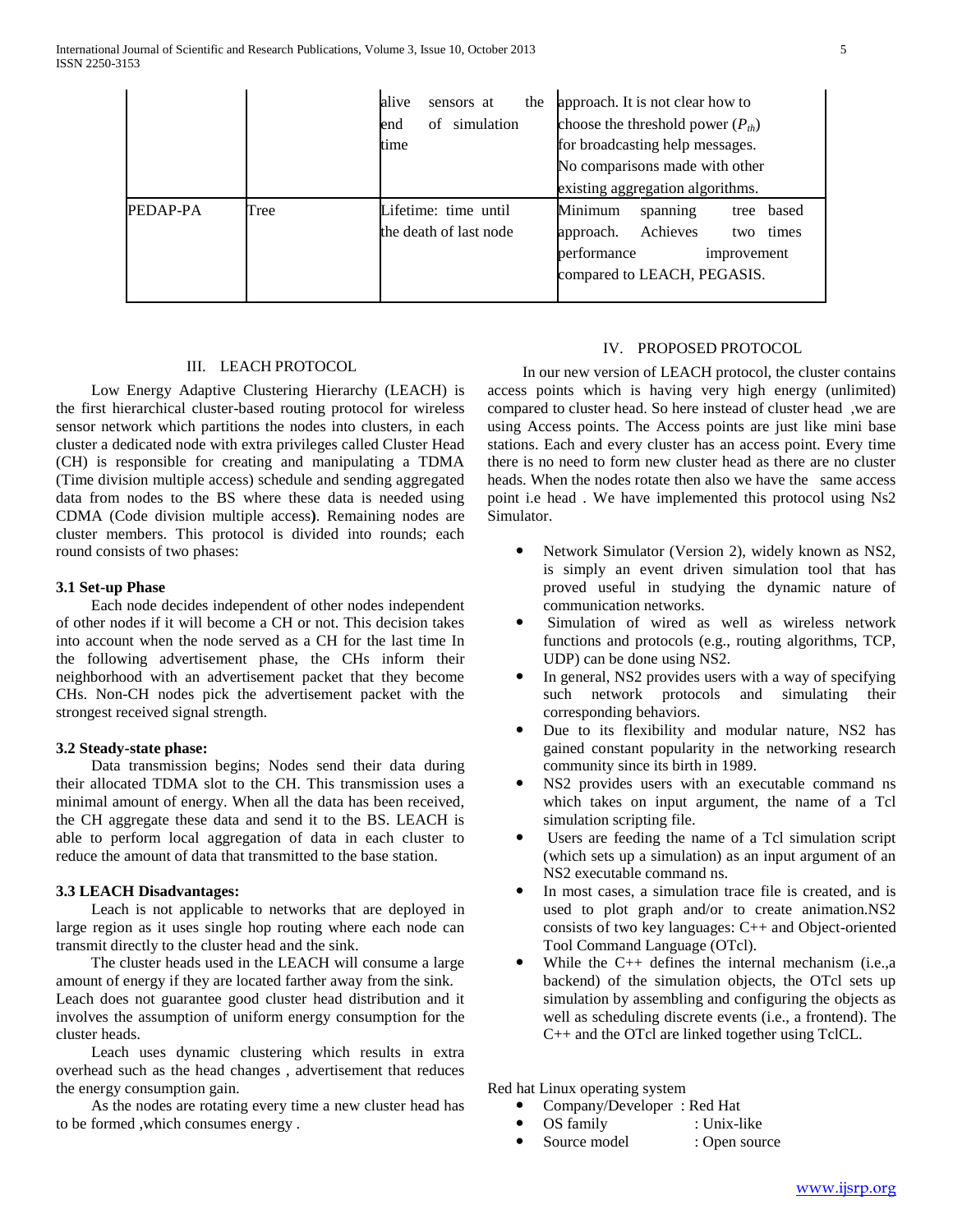|          |      | alive<br>sensors at<br>the<br>of simulation<br>end<br>time | approach. It is not clear how to<br>choose the threshold power $(P_{th})$<br>for broadcasting help messages.<br>No comparisons made with other |
|----------|------|------------------------------------------------------------|------------------------------------------------------------------------------------------------------------------------------------------------|
|          |      |                                                            | existing aggregation algorithms.                                                                                                               |
| PEDAP-PA | Tree | Lifetime: time until<br>the death of last node             | Minimum<br>based<br>spanning<br>tree<br>Achieves<br>approach.<br>times<br>two<br>performance<br>improvement<br>compared to LEACH, PEGASIS.     |

# III. LEACH PROTOCOL

 Low Energy Adaptive Clustering Hierarchy (LEACH) is the first hierarchical cluster-based routing protocol for wireless sensor network which partitions the nodes into clusters, in each cluster a dedicated node with extra privileges called Cluster Head (CH) is responsible for creating and manipulating a TDMA (Time division multiple access) schedule and sending aggregated data from nodes to the BS where these data is needed using CDMA (Code division multiple access**)**. Remaining nodes are cluster members. This protocol is divided into rounds; each round consists of two phases:

#### **3.1 Set-up Phase**

 Each node decides independent of other nodes independent of other nodes if it will become a CH or not. This decision takes into account when the node served as a CH for the last time In the following advertisement phase, the CHs inform their neighborhood with an advertisement packet that they become CHs. Non-CH nodes pick the advertisement packet with the strongest received signal strength.

#### **3.2 Steady-state phase:**

 Data transmission begins; Nodes send their data during their allocated TDMA slot to the CH. This transmission uses a minimal amount of energy. When all the data has been received, the CH aggregate these data and send it to the BS. LEACH is able to perform local aggregation of data in each cluster to reduce the amount of data that transmitted to the base station.

# **3.3 LEACH Disadvantages:**

 Leach is not applicable to networks that are deployed in large region as it uses single hop routing where each node can transmit directly to the cluster head and the sink.

 The cluster heads used in the LEACH will consume a large amount of energy if they are located farther away from the sink. Leach does not guarantee good cluster head distribution and it

involves the assumption of uniform energy consumption for the cluster heads.

 Leach uses dynamic clustering which results in extra overhead such as the head changes , advertisement that reduces the energy consumption gain.

 As the nodes are rotating every time a new cluster head has to be formed ,which consumes energy .

#### IV. PROPOSED PROTOCOL

 In our new version of LEACH protocol, the cluster contains access points which is having very high energy (unlimited) compared to cluster head. So here instead of cluster head ,we are using Access points. The Access points are just like mini base stations. Each and every cluster has an access point. Every time there is no need to form new cluster head as there are no cluster heads. When the nodes rotate then also we have the same access point i.e head . We have implemented this protocol using Ns2 Simulator.

- Network Simulator (Version 2), widely known as NS2, is simply an event driven simulation tool that has proved useful in studying the dynamic nature of communication networks.
- Simulation of wired as well as wireless network functions and protocols (e.g., routing algorithms, TCP, UDP) can be done using NS2.
- In general, NS2 provides users with a way of specifying such network protocols and simulating their corresponding behaviors.
- Due to its flexibility and modular nature, NS2 has gained constant popularity in the networking research community since its birth in 1989.
- NS2 provides users with an executable command ns which takes on input argument, the name of a Tcl simulation scripting file.
- Users are feeding the name of a Tcl simulation script (which sets up a simulation) as an input argument of an NS2 executable command ns.
- In most cases, a simulation trace file is created, and is used to plot graph and/or to create animation.NS2 consists of two key languages: C++ and Object-oriented Tool Command Language (OTcl).
- While the C++ defines the internal mechanism (i.e.,a backend) of the simulation objects, the OTcl sets up simulation by assembling and configuring the objects as well as scheduling discrete events (i.e., a frontend). The C++ and the OTcl are linked together using TclCL.

Red hat Linux operating system

- Company/Developer : Red Hat
- OS family : Unix-like
- Source model : Open source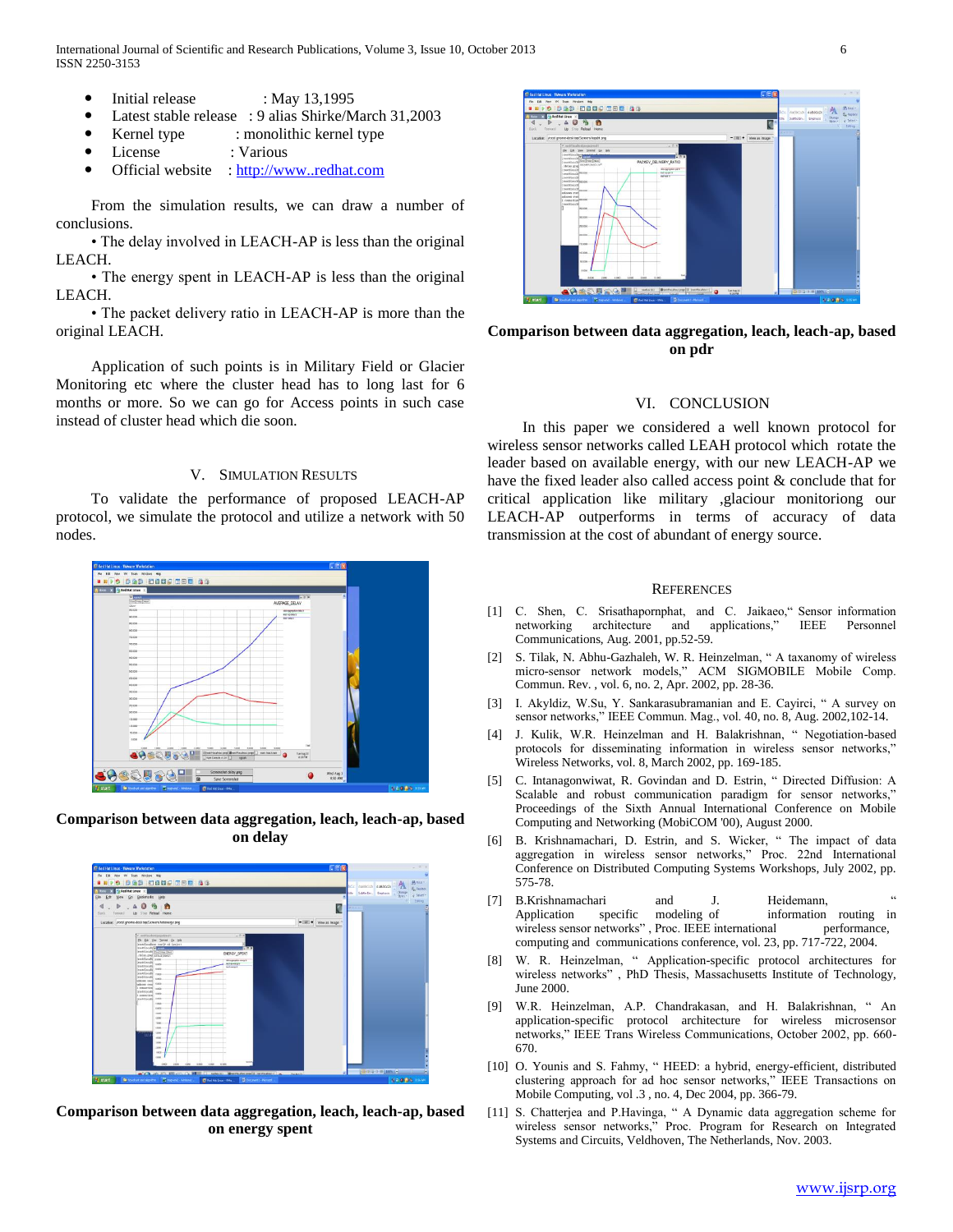International Journal of Scientific and Research Publications, Volume 3, Issue 10, October 2013 6 ISSN 2250-3153

- Initial release : May 13,1995
- Latest stable release : 9 alias Shirke/March 31,2003
- Kernel type : monolithic kernel type
- License : Various
- Official website : [http://www..redhat.com](http://www..redhat.com/)

 From the simulation results, we can draw a number of conclusions.

 • The delay involved in LEACH-AP is less than the original LEACH.

 • The energy spent in LEACH-AP is less than the original LEACH.

 • The packet delivery ratio in LEACH-AP is more than the original LEACH.

 Application of such points is in Military Field or Glacier Monitoring etc where the cluster head has to long last for 6 months or more. So we can go for Access points in such case instead of cluster head which die soon.

## V. SIMULATION RESULTS

 To validate the performance of proposed LEACH-AP protocol, we simulate the protocol and utilize a network with 50 nodes.



**Comparison between data aggregation, leach, leach-ap, based on delay**



**Comparison between data aggregation, leach, leach-ap, based on energy spent**



**Comparison between data aggregation, leach, leach-ap, based on pdr**

## VI. CONCLUSION

 In this paper we considered a well known protocol for wireless sensor networks called LEAH protocol which rotate the leader based on available energy, with our new LEACH-AP we have the fixed leader also called access point & conclude that for critical application like military ,glaciour monitoriong our LEACH-AP outperforms in terms of accuracy of data transmission at the cost of abundant of energy source.

#### **REFERENCES**

- [1] C. Shen, C. Srisathapornphat, and C. Jaikaeo," Sensor information networking architecture and applications," IEEE Personnel Communications, Aug. 2001, pp.52-59.
- [2] S. Tilak, N. Abhu-Gazhaleh, W. R. Heinzelman, " A taxanomy of wireless micro-sensor network models," ACM SIGMOBILE Mobile Comp. Commun. Rev. , vol. 6, no. 2, Apr. 2002, pp. 28-36.
- [3] I. Akyldiz, W.Su, Y. Sankarasubramanian and E. Cayirci, " A survey on sensor networks," IEEE Commun. Mag., vol. 40, no. 8, Aug. 2002,102-14.
- [4] J. Kulik, W.R. Heinzelman and H. Balakrishnan, " Negotiation-based protocols for disseminating information in wireless sensor networks," Wireless Networks, vol. 8, March 2002, pp. 169-185.
- [5] C. Intanagonwiwat, R. Govindan and D. Estrin, " Directed Diffusion: A Scalable and robust communication paradigm for sensor networks," Proceedings of the Sixth Annual International Conference on Mobile Computing and Networking (MobiCOM '00), August 2000.
- [6] B. Krishnamachari, D. Estrin, and S. Wicker, " The impact of data aggregation in wireless sensor networks," Proc. 22nd International Conference on Distributed Computing Systems Workshops, July 2002, pp. 575-78.
- [7] B.Krishnamachari and J. Heidemann, " Application specific modeling of information routing in wireless sensor networks", Proc. IEEE international performance, computing and communications conference, vol. 23, pp. 717-722, 2004.
- [8] W. R. Heinzelman, "Application-specific protocol architectures for wireless networks" , PhD Thesis, Massachusetts Institute of Technology, June 2000.
- [9] W.R. Heinzelman, A.P. Chandrakasan, and H. Balakrishnan, " An application-specific protocol architecture for wireless microsensor networks," IEEE Trans Wireless Communications, October 2002, pp. 660- 670.
- [10] O. Younis and S. Fahmy, " HEED: a hybrid, energy-efficient, distributed clustering approach for ad hoc sensor networks," IEEE Transactions on Mobile Computing, vol .3 , no. 4, Dec 2004, pp. 366-79.
- [11] S. Chatterjea and P.Havinga, " A Dynamic data aggregation scheme for wireless sensor networks," Proc. Program for Research on Integrated Systems and Circuits, Veldhoven, The Netherlands, Nov. 2003.